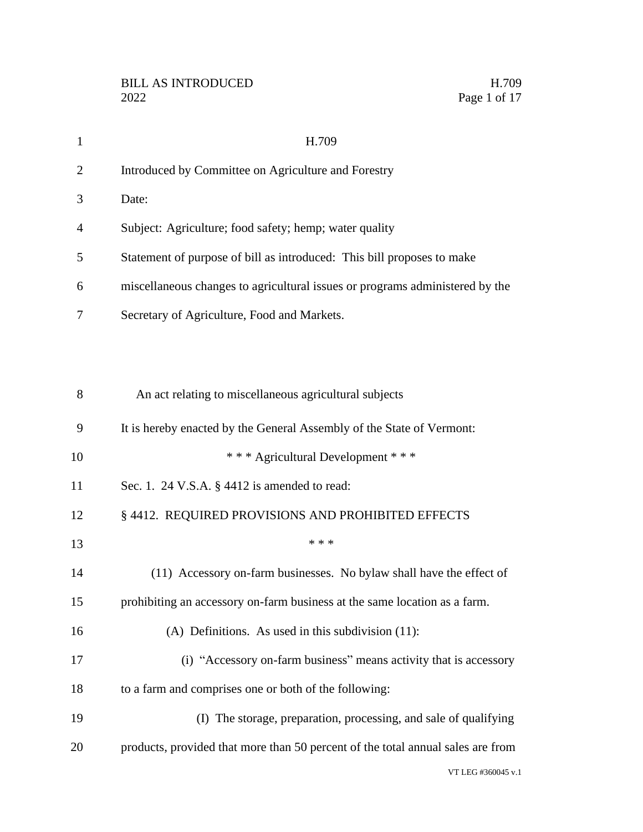| $\mathbf{1}$   | H.709                                                                           |
|----------------|---------------------------------------------------------------------------------|
| $\overline{2}$ | Introduced by Committee on Agriculture and Forestry                             |
| 3              | Date:                                                                           |
| 4              | Subject: Agriculture; food safety; hemp; water quality                          |
| 5              | Statement of purpose of bill as introduced: This bill proposes to make          |
| 6              | miscellaneous changes to agricultural issues or programs administered by the    |
| 7              | Secretary of Agriculture, Food and Markets.                                     |
|                |                                                                                 |
|                |                                                                                 |
| 8              | An act relating to miscellaneous agricultural subjects                          |
| 9              | It is hereby enacted by the General Assembly of the State of Vermont:           |
| 10             | *** Agricultural Development ***                                                |
| 11             | Sec. 1. 24 V.S.A. $\S$ 4412 is amended to read:                                 |
| 12             | § 4412. REQUIRED PROVISIONS AND PROHIBITED EFFECTS                              |
| 13             | * * *                                                                           |
| 14             | (11) Accessory on-farm businesses. No bylaw shall have the effect of            |
| 15             | prohibiting an accessory on-farm business at the same location as a farm.       |
| 16             | (A) Definitions. As used in this subdivision $(11)$ :                           |
| 17             | (i) "Accessory on-farm business" means activity that is accessory               |
| 18             | to a farm and comprises one or both of the following:                           |
| 19             | (I) The storage, preparation, processing, and sale of qualifying                |
| 20             | products, provided that more than 50 percent of the total annual sales are from |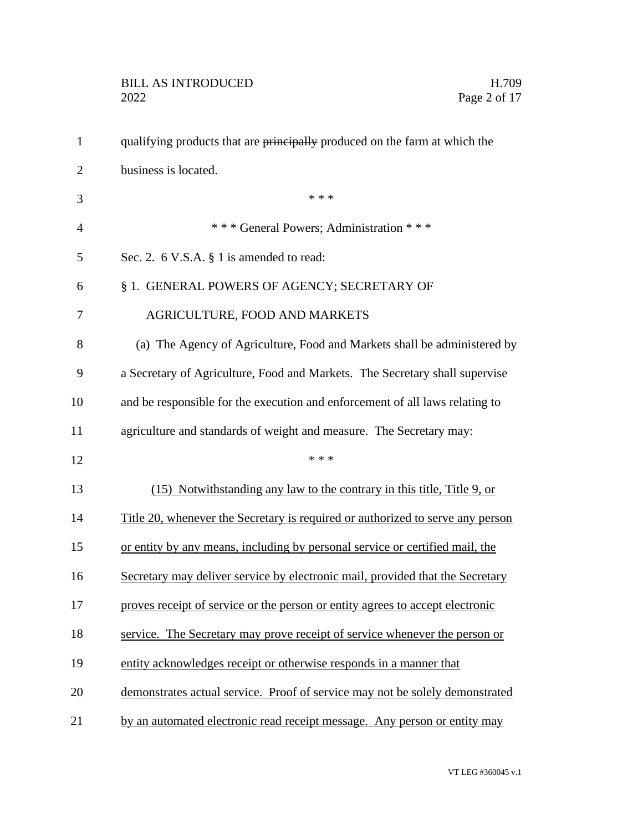| $\mathbf{1}$   | qualifying products that are principally produced on the farm at which the            |
|----------------|---------------------------------------------------------------------------------------|
| $\overline{2}$ | business is located.                                                                  |
| 3              | * * *                                                                                 |
| $\overline{4}$ | *** General Powers; Administration ***                                                |
| 5              | Sec. 2. 6 V.S.A. § 1 is amended to read:                                              |
| 6              | § 1. GENERAL POWERS OF AGENCY; SECRETARY OF                                           |
| 7              | AGRICULTURE, FOOD AND MARKETS                                                         |
| 8              | (a) The Agency of Agriculture, Food and Markets shall be administered by              |
| 9              | a Secretary of Agriculture, Food and Markets. The Secretary shall supervise           |
| 10             | and be responsible for the execution and enforcement of all laws relating to          |
| 11             | agriculture and standards of weight and measure. The Secretary may:                   |
| 12             | * * *                                                                                 |
| 13             | (15) Notwithstanding any law to the contrary in this title, Title 9, or               |
| 14             | <u>Title 20, whenever the Secretary is required or authorized to serve any person</u> |
| 15             | or entity by any means, including by personal service or certified mail, the          |
| 16             | Secretary may deliver service by electronic mail, provided that the Secretary         |
| 17             | proves receipt of service or the person or entity agrees to accept electronic         |
| 18             | service. The Secretary may prove receipt of service whenever the person or            |
| 19             | entity acknowledges receipt or otherwise responds in a manner that                    |
| 20             | demonstrates actual service. Proof of service may not be solely demonstrated          |
| 21             | by an automated electronic read receipt message. Any person or entity may             |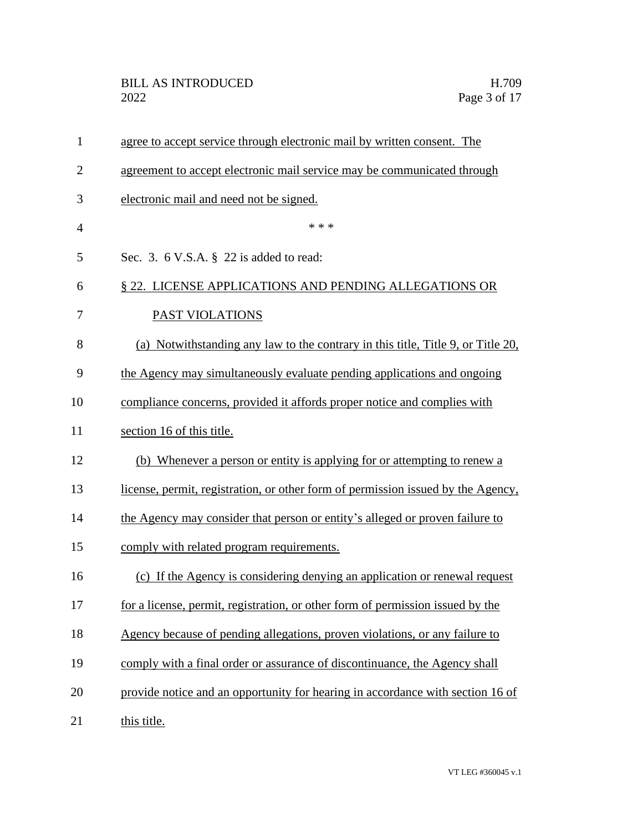| $\mathbf{1}$   | agree to accept service through electronic mail by written consent. The          |
|----------------|----------------------------------------------------------------------------------|
| $\overline{2}$ | agreement to accept electronic mail service may be communicated through          |
| 3              | electronic mail and need not be signed.                                          |
| $\overline{4}$ | * * *                                                                            |
| 5              | Sec. 3. $6$ V.S.A. $\S$ 22 is added to read:                                     |
| 6              | § 22. LICENSE APPLICATIONS AND PENDING ALLEGATIONS OR                            |
| 7              | <b>PAST VIOLATIONS</b>                                                           |
| 8              | (a) Notwithstanding any law to the contrary in this title, Title 9, or Title 20, |
| 9              | the Agency may simultaneously evaluate pending applications and ongoing          |
| 10             | compliance concerns, provided it affords proper notice and complies with         |
| 11             | section 16 of this title.                                                        |
| 12             | (b) Whenever a person or entity is applying for or attempting to renew a         |
| 13             | license, permit, registration, or other form of permission issued by the Agency, |
| 14             | the Agency may consider that person or entity's alleged or proven failure to     |
| 15             | comply with related program requirements.                                        |
| 16             | (c) If the Agency is considering denying an application or renewal request       |
| 17             | for a license, permit, registration, or other form of permission issued by the   |
| 18             | Agency because of pending allegations, proven violations, or any failure to      |
| 19             | comply with a final order or assurance of discontinuance, the Agency shall       |
| 20             | provide notice and an opportunity for hearing in accordance with section 16 of   |
| 21             | this title.                                                                      |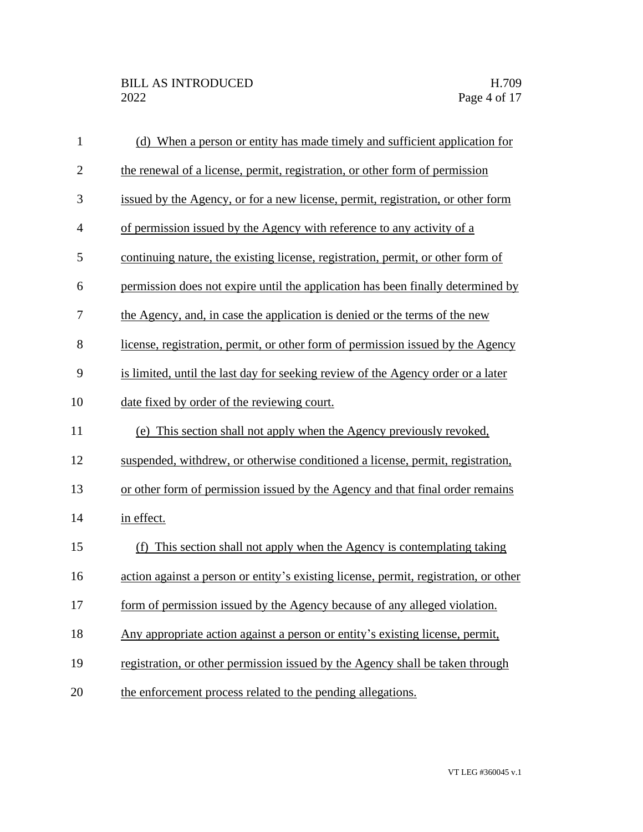| $\mathbf{1}$   | (d) When a person or entity has made timely and sufficient application for           |
|----------------|--------------------------------------------------------------------------------------|
| $\overline{2}$ | the renewal of a license, permit, registration, or other form of permission          |
| 3              | issued by the Agency, or for a new license, permit, registration, or other form      |
| $\overline{4}$ | of permission issued by the Agency with reference to any activity of a               |
| 5              | continuing nature, the existing license, registration, permit, or other form of      |
| 6              | permission does not expire until the application has been finally determined by      |
| 7              | the Agency, and, in case the application is denied or the terms of the new           |
| 8              | license, registration, permit, or other form of permission issued by the Agency      |
| 9              | is limited, until the last day for seeking review of the Agency order or a later     |
| 10             | date fixed by order of the reviewing court.                                          |
| 11             | (e) This section shall not apply when the Agency previously revoked,                 |
| 12             | suspended, withdrew, or otherwise conditioned a license, permit, registration,       |
| 13             | or other form of permission issued by the Agency and that final order remains        |
| 14             | in effect.                                                                           |
| 15             | (f) This section shall not apply when the Agency is contemplating taking             |
| 16             | action against a person or entity's existing license, permit, registration, or other |
| 17             | form of permission issued by the Agency because of any alleged violation.            |
| 18             | Any appropriate action against a person or entity's existing license, permit,        |
| 19             | registration, or other permission issued by the Agency shall be taken through        |
| 20             | the enforcement process related to the pending allegations.                          |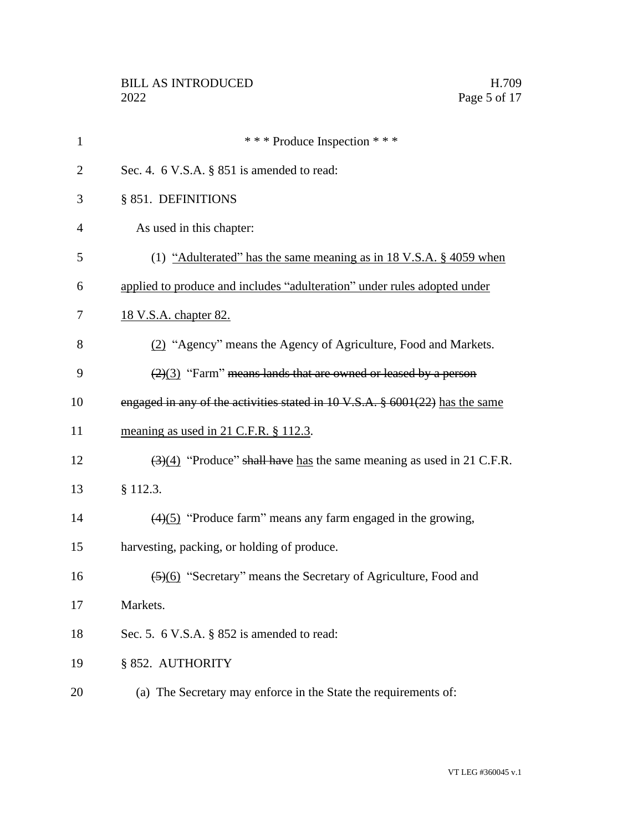| $\mathbf{1}$   | *** Produce Inspection ***                                                                |
|----------------|-------------------------------------------------------------------------------------------|
| $\overline{2}$ | Sec. 4. $6$ V.S.A. $\S$ 851 is amended to read:                                           |
| 3              | § 851. DEFINITIONS                                                                        |
| 4              | As used in this chapter:                                                                  |
| 5              | (1) "Adulterated" has the same meaning as in 18 V.S.A. $\S$ 4059 when                     |
| 6              | applied to produce and includes "adulteration" under rules adopted under                  |
| 7              | <u>18 V.S.A. chapter 82.</u>                                                              |
| 8              | (2) "Agency" means the Agency of Agriculture, Food and Markets.                           |
| 9              | $\left(\frac{2}{3}\right)$ "Farm" means lands that are owned or leased by a person        |
| 10             | engaged in any of the activities stated in $10 \text{ V.S.A. }$ \$ 6001(22) has the same  |
| 11             | meaning as used in 21 C.F.R. § 112.3.                                                     |
| 12             | $\left(\frac{3}{4}\right)$ "Produce" shall have has the same meaning as used in 21 C.F.R. |
| 13             | § 112.3.                                                                                  |
| 14             | $\left(\frac{4}{5}\right)$ "Produce farm" means any farm engaged in the growing,          |
| 15             | harvesting, packing, or holding of produce.                                               |
| 16             | (5)(6) "Secretary" means the Secretary of Agriculture, Food and                           |
| 17             | Markets.                                                                                  |
| 18             | Sec. 5. 6 V.S.A. $\S$ 852 is amended to read:                                             |
| 19             | § 852. AUTHORITY                                                                          |
| 20             | (a) The Secretary may enforce in the State the requirements of:                           |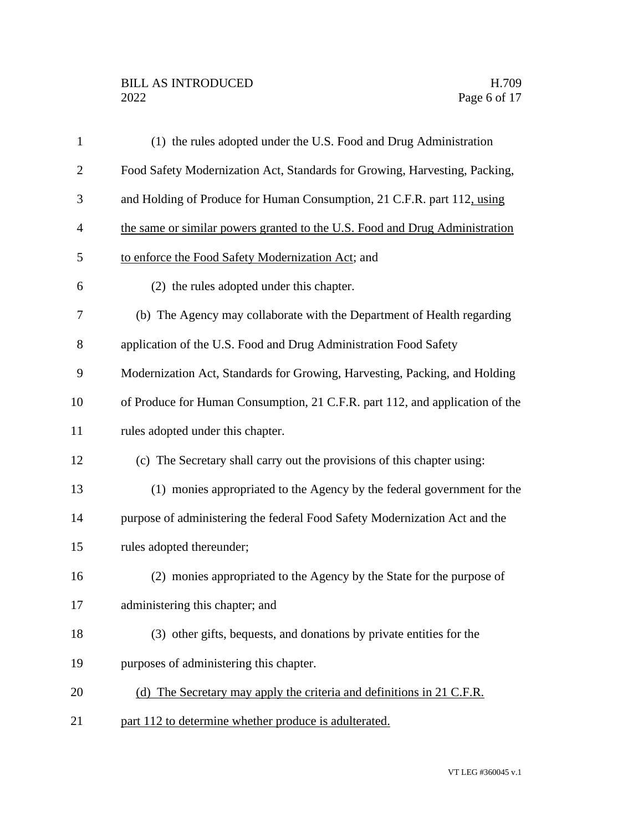# BILL AS INTRODUCED H.709<br>2022 Page 6 of 17

| $\mathbf{1}$   | (1) the rules adopted under the U.S. Food and Drug Administration            |
|----------------|------------------------------------------------------------------------------|
| $\overline{c}$ | Food Safety Modernization Act, Standards for Growing, Harvesting, Packing,   |
| 3              | and Holding of Produce for Human Consumption, 21 C.F.R. part 112, using      |
| 4              | the same or similar powers granted to the U.S. Food and Drug Administration  |
| 5              | to enforce the Food Safety Modernization Act; and                            |
| 6              | (2) the rules adopted under this chapter.                                    |
| 7              | (b) The Agency may collaborate with the Department of Health regarding       |
| 8              | application of the U.S. Food and Drug Administration Food Safety             |
| 9              | Modernization Act, Standards for Growing, Harvesting, Packing, and Holding   |
| 10             | of Produce for Human Consumption, 21 C.F.R. part 112, and application of the |
| 11             | rules adopted under this chapter.                                            |
| 12             | (c) The Secretary shall carry out the provisions of this chapter using:      |
| 13             | (1) monies appropriated to the Agency by the federal government for the      |
| 14             | purpose of administering the federal Food Safety Modernization Act and the   |
| 15             | rules adopted thereunder;                                                    |
| 16             | (2) monies appropriated to the Agency by the State for the purpose of        |
| 17             | administering this chapter; and                                              |
| 18             | (3) other gifts, bequests, and donations by private entities for the         |
| 19             | purposes of administering this chapter.                                      |
| 20             | (d) The Secretary may apply the criteria and definitions in 21 C.F.R.        |
| 21             | part 112 to determine whether produce is adulterated.                        |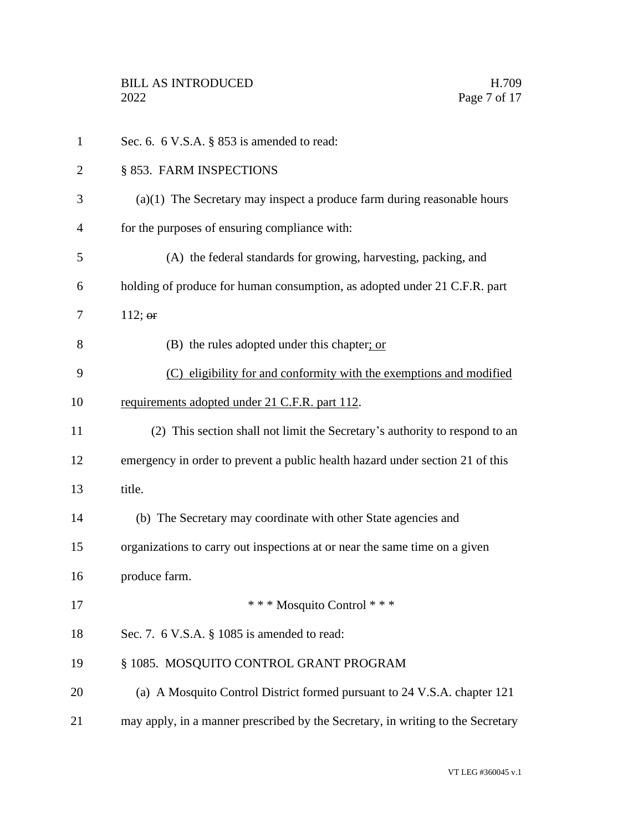| $\mathbf{1}$   | Sec. 6. $6$ V.S.A. $\S$ 853 is amended to read:                                 |
|----------------|---------------------------------------------------------------------------------|
| $\overline{2}$ | § 853. FARM INSPECTIONS                                                         |
| 3              | $(a)(1)$ The Secretary may inspect a produce farm during reasonable hours       |
| 4              | for the purposes of ensuring compliance with:                                   |
| 5              | (A) the federal standards for growing, harvesting, packing, and                 |
| 6              | holding of produce for human consumption, as adopted under 21 C.F.R. part       |
| 7              | 112; $\Theta$ <b>r</b>                                                          |
| 8              | (B) the rules adopted under this chapter; or                                    |
| 9              | (C) eligibility for and conformity with the exemptions and modified             |
| 10             | requirements adopted under 21 C.F.R. part 112.                                  |
| 11             | (2) This section shall not limit the Secretary's authority to respond to an     |
| 12             | emergency in order to prevent a public health hazard under section 21 of this   |
| 13             | title.                                                                          |
| 14             | (b) The Secretary may coordinate with other State agencies and                  |
| 15             | organizations to carry out inspections at or near the same time on a given      |
| 16             | produce farm.                                                                   |
| 17             | * * * Mosquito Control * * *                                                    |
| 18             | Sec. 7. 6 V.S.A. § 1085 is amended to read:                                     |
| 19             | § 1085. MOSQUITO CONTROL GRANT PROGRAM                                          |
| 20             | (a) A Mosquito Control District formed pursuant to 24 V.S.A. chapter 121        |
| 21             | may apply, in a manner prescribed by the Secretary, in writing to the Secretary |
|                |                                                                                 |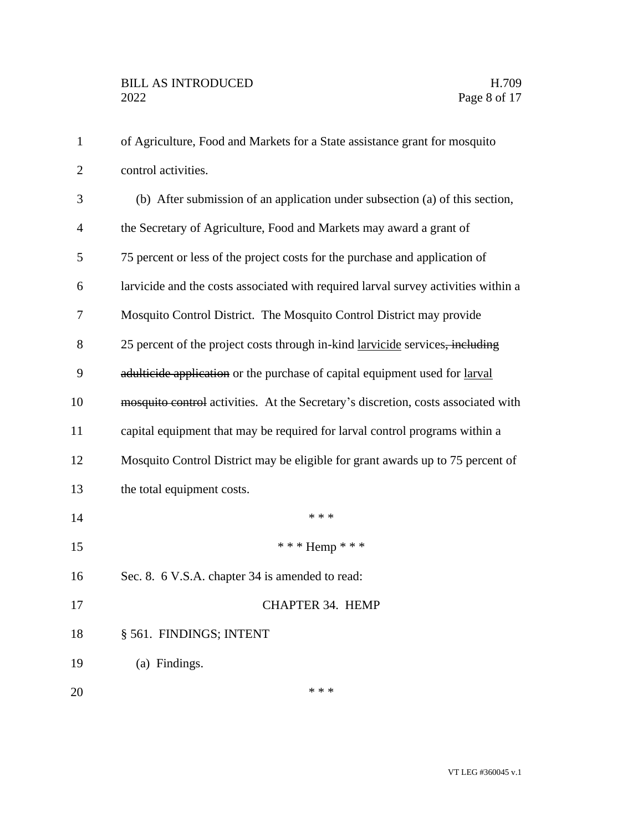| $\mathbf{1}$   | of Agriculture, Food and Markets for a State assistance grant for mosquito         |
|----------------|------------------------------------------------------------------------------------|
| $\mathbf{2}$   | control activities.                                                                |
| 3              | (b) After submission of an application under subsection (a) of this section,       |
| $\overline{4}$ | the Secretary of Agriculture, Food and Markets may award a grant of                |
| 5              | 75 percent or less of the project costs for the purchase and application of        |
| 6              | larvicide and the costs associated with required larval survey activities within a |
| 7              | Mosquito Control District. The Mosquito Control District may provide               |
| 8              | 25 percent of the project costs through in-kind larvicide services, including      |
| 9              | adulticide application or the purchase of capital equipment used for larval        |
| 10             | mosquito control activities. At the Secretary's discretion, costs associated with  |
| 11             | capital equipment that may be required for larval control programs within a        |
| 12             | Mosquito Control District may be eligible for grant awards up to 75 percent of     |
| 13             | the total equipment costs.                                                         |
| 14             | * * *                                                                              |
| 15             | *** Hemp ***                                                                       |
| 16             | Sec. 8. 6 V.S.A. chapter 34 is amended to read:                                    |
| 17             | CHAPTER 34. HEMP                                                                   |
| 18             | § 561. FINDINGS; INTENT                                                            |
| 19             | (a) Findings.                                                                      |
| 20             | * * *                                                                              |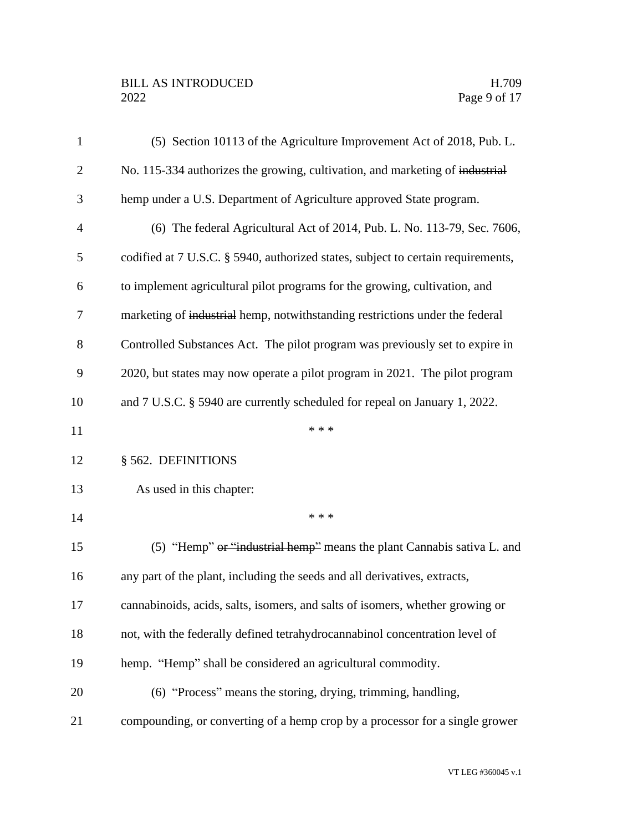# BILL AS INTRODUCED H.709<br>2022 Page 9 of 17

| $\mathbf{1}$   | (5) Section 10113 of the Agriculture Improvement Act of 2018, Pub. L.            |
|----------------|----------------------------------------------------------------------------------|
| $\overline{2}$ | No. 115-334 authorizes the growing, cultivation, and marketing of industrial     |
| 3              | hemp under a U.S. Department of Agriculture approved State program.              |
| $\overline{4}$ | (6) The federal Agricultural Act of 2014, Pub. L. No. 113-79, Sec. 7606,         |
| 5              | codified at 7 U.S.C. § 5940, authorized states, subject to certain requirements, |
| 6              | to implement agricultural pilot programs for the growing, cultivation, and       |
| 7              | marketing of industrial hemp, notwithstanding restrictions under the federal     |
| 8              | Controlled Substances Act. The pilot program was previously set to expire in     |
| 9              | 2020, but states may now operate a pilot program in 2021. The pilot program      |
| 10             | and 7 U.S.C. § 5940 are currently scheduled for repeal on January 1, 2022.       |
| 11             | * * *                                                                            |
| 12             | § 562. DEFINITIONS                                                               |
| 13             | As used in this chapter:                                                         |
| 14             | * * *                                                                            |
| 15             | (5) "Hemp" $\Theta$ "industrial hemp" means the plant Cannabis sativa L. and     |
| 16             | any part of the plant, including the seeds and all derivatives, extracts,        |
| 17             | cannabinoids, acids, salts, isomers, and salts of isomers, whether growing or    |
| 18             | not, with the federally defined tetrahydrocannabinol concentration level of      |
| 19             | hemp. "Hemp" shall be considered an agricultural commodity.                      |
| 20             | (6) "Process" means the storing, drying, trimming, handling,                     |
| 21             | compounding, or converting of a hemp crop by a processor for a single grower     |
|                |                                                                                  |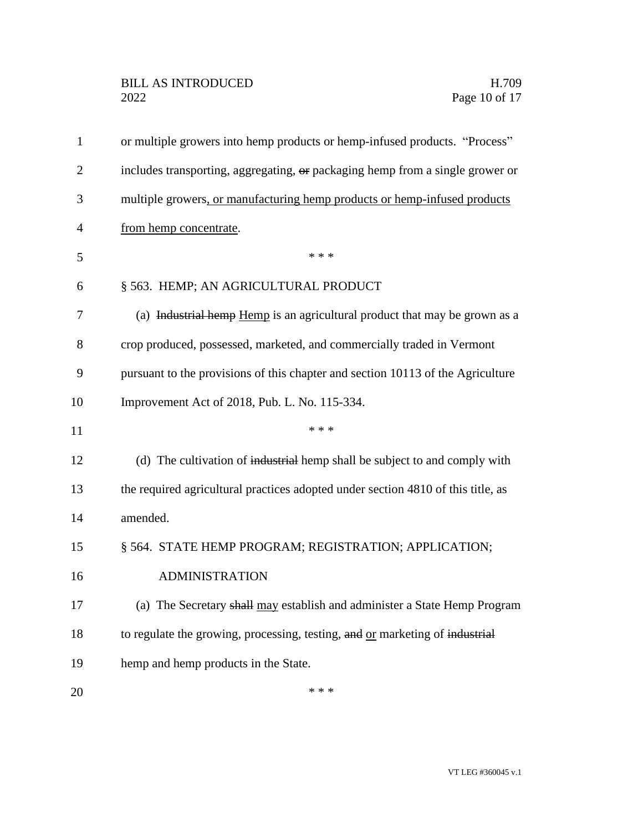| $\mathbf{1}$   | or multiple growers into hemp products or hemp-infused products. "Process"       |
|----------------|----------------------------------------------------------------------------------|
| $\overline{2}$ | includes transporting, aggregating, or packaging hemp from a single grower or    |
| 3              | multiple growers, or manufacturing hemp products or hemp-infused products        |
| 4              | from hemp concentrate.                                                           |
| 5              | * * *                                                                            |
| 6              | § 563. HEMP; AN AGRICULTURAL PRODUCT                                             |
| 7              | (a) Industrial hemp Hemp is an agricultural product that may be grown as a       |
| 8              | crop produced, possessed, marketed, and commercially traded in Vermont           |
| 9              | pursuant to the provisions of this chapter and section 10113 of the Agriculture  |
| 10             | Improvement Act of 2018, Pub. L. No. 115-334.                                    |
| 11             | * * *                                                                            |
| 12             | (d) The cultivation of industrial hemp shall be subject to and comply with       |
| 13             | the required agricultural practices adopted under section 4810 of this title, as |
| 14             | amended.                                                                         |
| 15             | § 564. STATE HEMP PROGRAM; REGISTRATION; APPLICATION;                            |
| 16             | <b>ADMINISTRATION</b>                                                            |
| 17             | (a) The Secretary shall may establish and administer a State Hemp Program        |
| 18             | to regulate the growing, processing, testing, and or marketing of industrial     |
| 19             | hemp and hemp products in the State.                                             |
| 20             | * * *                                                                            |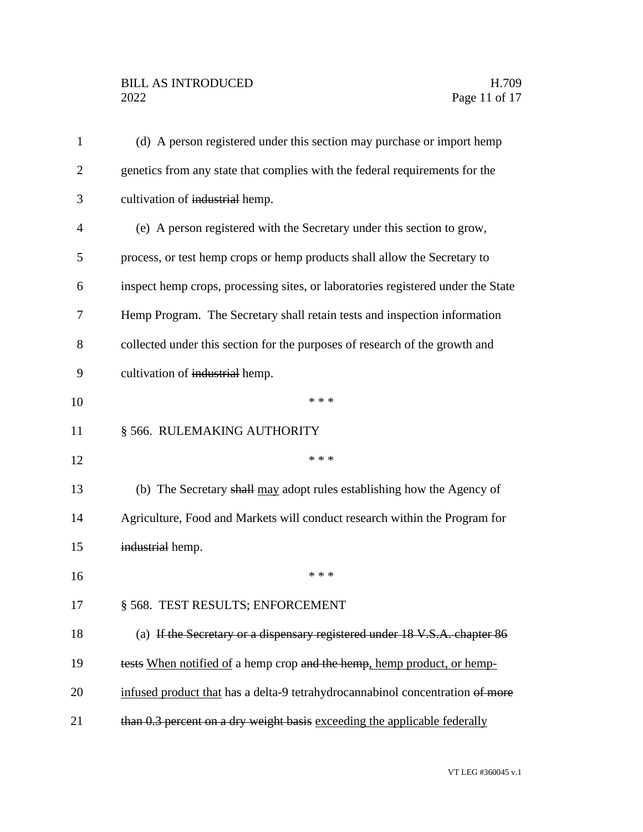# BILL AS INTRODUCED H.709<br>2022 Page 11 of 17

| $\mathbf{1}$   | (d) A person registered under this section may purchase or import hemp           |
|----------------|----------------------------------------------------------------------------------|
| $\overline{2}$ | genetics from any state that complies with the federal requirements for the      |
| 3              | cultivation of industrial hemp.                                                  |
| $\overline{4}$ | (e) A person registered with the Secretary under this section to grow,           |
| 5              | process, or test hemp crops or hemp products shall allow the Secretary to        |
| 6              | inspect hemp crops, processing sites, or laboratories registered under the State |
| 7              | Hemp Program. The Secretary shall retain tests and inspection information        |
| 8              | collected under this section for the purposes of research of the growth and      |
| 9              | cultivation of industrial hemp.                                                  |
| 10             | * * *                                                                            |
| 11             | § 566. RULEMAKING AUTHORITY                                                      |
| 12             | * * *                                                                            |
| 13             | (b) The Secretary shall may adopt rules establishing how the Agency of           |
| 14             | Agriculture, Food and Markets will conduct research within the Program for       |
| 15             | industrial hemp.                                                                 |
| 16             | * * *                                                                            |
| 17             | § 568. TEST RESULTS; ENFORCEMENT                                                 |
| 18             | (a) If the Secretary or a dispensary registered under 18 V.S.A. chapter 86       |
| 19             | tests When notified of a hemp crop and the hemp, hemp product, or hemp-          |
| 20             | infused product that has a delta-9 tetrahydrocannabinol concentration of more    |
| 21             | than 0.3 percent on a dry weight basis exceeding the applicable federally        |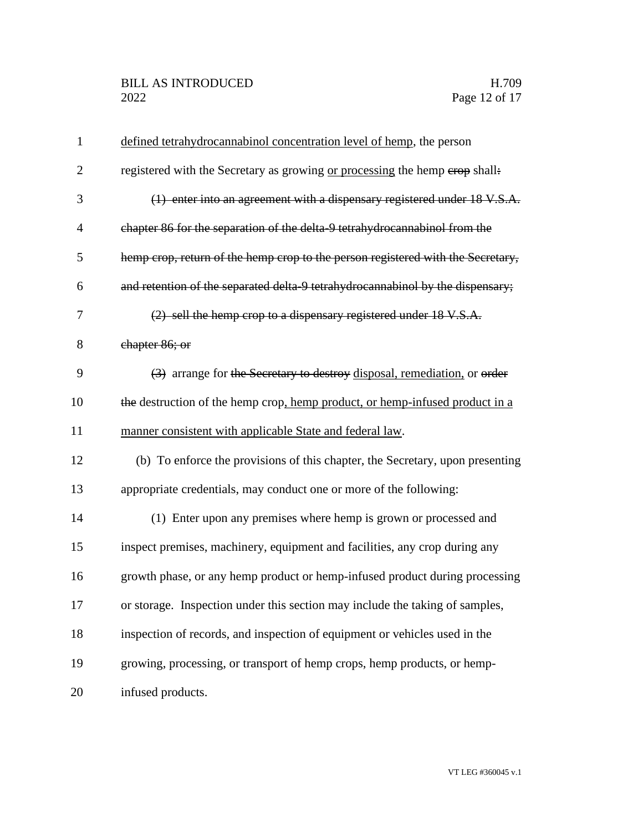| $\mathbf{1}$   | defined tetrahydrocannabinol concentration level of hemp, the person            |
|----------------|---------------------------------------------------------------------------------|
| $\overline{2}$ | registered with the Secretary as growing or processing the hemp erop shall:     |
| 3              | (1) enter into an agreement with a dispensary registered under 18 V.S.A.        |
| $\overline{4}$ | chapter 86 for the separation of the delta-9 tetrahydrocannabinol from the      |
| 5              | hemp crop, return of the hemp crop to the person registered with the Secretary, |
| 6              | and retention of the separated delta 9 tetrahydrocannabinol by the dispensary;  |
| 7              | (2) sell the hemp crop to a dispensary registered under 18 V.S.A.               |
| 8              | chapter 86; or                                                                  |
| 9              | (3) arrange for the Secretary to destroy disposal, remediation, or order        |
| 10             | the destruction of the hemp crop, hemp product, or hemp-infused product in a    |
| 11             | manner consistent with applicable State and federal law.                        |
| 12             | (b) To enforce the provisions of this chapter, the Secretary, upon presenting   |
| 13             | appropriate credentials, may conduct one or more of the following:              |
| 14             | (1) Enter upon any premises where hemp is grown or processed and                |
| 15             | inspect premises, machinery, equipment and facilities, any crop during any      |
| 16             | growth phase, or any hemp product or hemp-infused product during processing     |
| 17             | or storage. Inspection under this section may include the taking of samples,    |
| 18             | inspection of records, and inspection of equipment or vehicles used in the      |
| 19             | growing, processing, or transport of hemp crops, hemp products, or hemp-        |
| 20             | infused products.                                                               |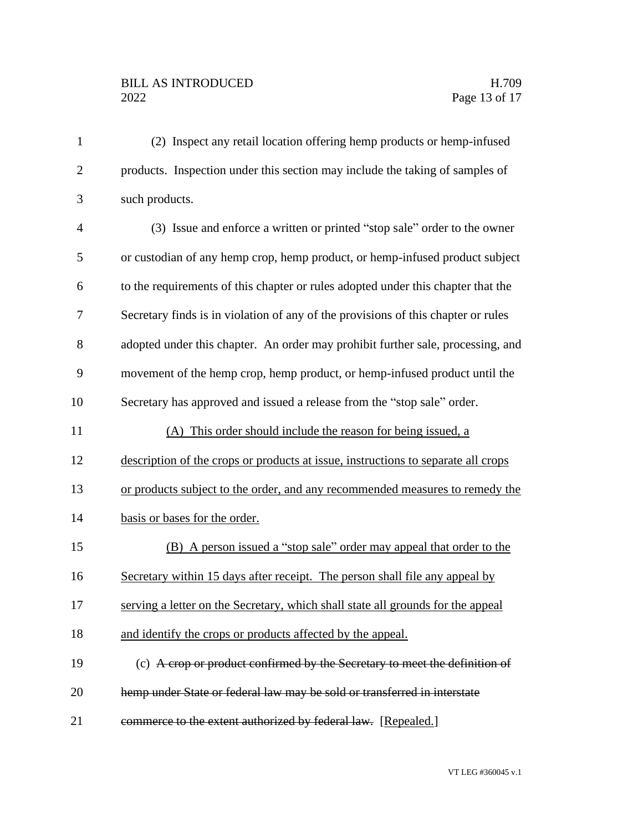# BILL AS INTRODUCED H.709<br>2022 Page 13 of 17

| $\mathbf{1}$   | (2) Inspect any retail location offering hemp products or hemp-infused            |
|----------------|-----------------------------------------------------------------------------------|
| $\overline{2}$ | products. Inspection under this section may include the taking of samples of      |
| 3              | such products.                                                                    |
| $\overline{4}$ | (3) Issue and enforce a written or printed "stop sale" order to the owner         |
| 5              | or custodian of any hemp crop, hemp product, or hemp-infused product subject      |
| 6              | to the requirements of this chapter or rules adopted under this chapter that the  |
| 7              | Secretary finds is in violation of any of the provisions of this chapter or rules |
| 8              | adopted under this chapter. An order may prohibit further sale, processing, and   |
| 9              | movement of the hemp crop, hemp product, or hemp-infused product until the        |
| 10             | Secretary has approved and issued a release from the "stop sale" order.           |
| 11             | (A) This order should include the reason for being issued, a                      |
| 12             | description of the crops or products at issue, instructions to separate all crops |
| 13             | or products subject to the order, and any recommended measures to remedy the      |
| 14             | basis or bases for the order.                                                     |
| 15             | (B) A person issued a "stop sale" order may appeal that order to the              |
| 16             | Secretary within 15 days after receipt. The person shall file any appeal by       |
| 17             | serving a letter on the Secretary, which shall state all grounds for the appeal   |
| 18             | and identify the crops or products affected by the appeal.                        |
| 19             | (c) A crop or product confirmed by the Secretary to meet the definition of        |
| 20             | hemp under State or federal law may be sold or transferred in interstate          |
| 21             | commerce to the extent authorized by federal law. [Repealed.]                     |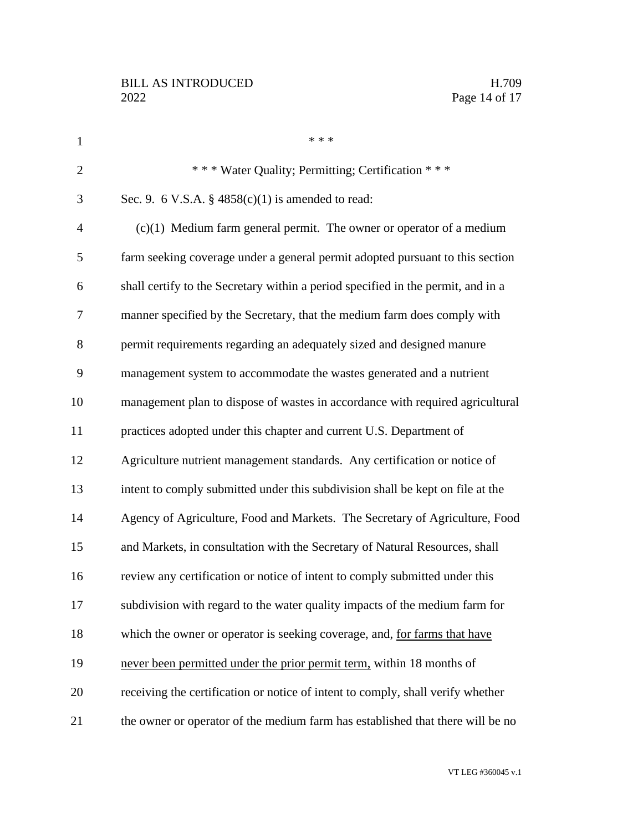| $\mathbf{1}$   | * * *                                                                            |
|----------------|----------------------------------------------------------------------------------|
| $\overline{2}$ | *** Water Quality; Permitting; Certification ***                                 |
| 3              | Sec. 9. 6 V.S.A. § $4858(c)(1)$ is amended to read:                              |
| $\overline{4}$ | $(c)(1)$ Medium farm general permit. The owner or operator of a medium           |
| 5              | farm seeking coverage under a general permit adopted pursuant to this section    |
| 6              | shall certify to the Secretary within a period specified in the permit, and in a |
| 7              | manner specified by the Secretary, that the medium farm does comply with         |
| 8              | permit requirements regarding an adequately sized and designed manure            |
| 9              | management system to accommodate the wastes generated and a nutrient             |
| 10             | management plan to dispose of wastes in accordance with required agricultural    |
| 11             | practices adopted under this chapter and current U.S. Department of              |
| 12             | Agriculture nutrient management standards. Any certification or notice of        |
| 13             | intent to comply submitted under this subdivision shall be kept on file at the   |
| 14             | Agency of Agriculture, Food and Markets. The Secretary of Agriculture, Food      |
| 15             | and Markets, in consultation with the Secretary of Natural Resources, shall      |
| 16             | review any certification or notice of intent to comply submitted under this      |
| 17             | subdivision with regard to the water quality impacts of the medium farm for      |
| 18             | which the owner or operator is seeking coverage, and, for farms that have        |
| 19             | never been permitted under the prior permit term, within 18 months of            |
| 20             | receiving the certification or notice of intent to comply, shall verify whether  |
| 21             | the owner or operator of the medium farm has established that there will be no   |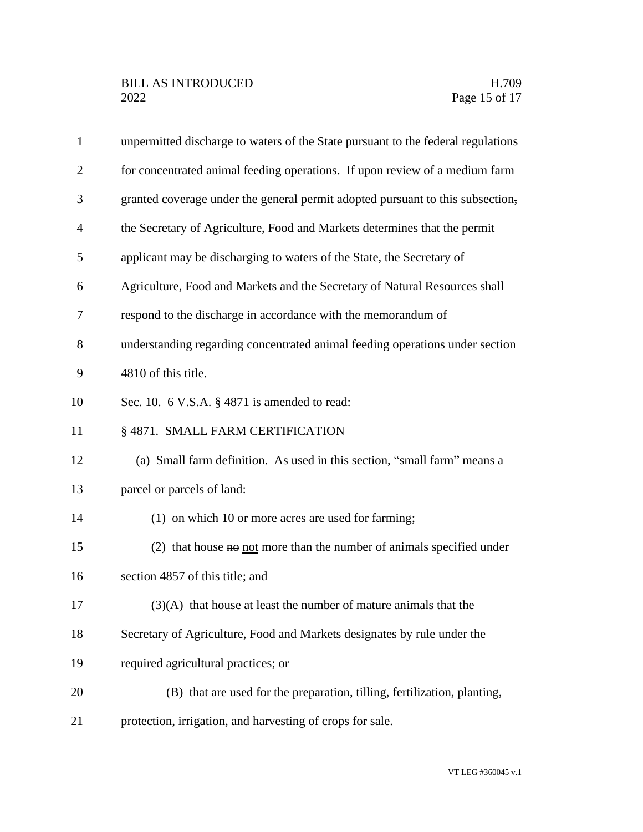| $\mathbf{1}$   | unpermitted discharge to waters of the State pursuant to the federal regulations |
|----------------|----------------------------------------------------------------------------------|
| $\overline{2}$ | for concentrated animal feeding operations. If upon review of a medium farm      |
| 3              | granted coverage under the general permit adopted pursuant to this subsection,   |
| $\overline{4}$ | the Secretary of Agriculture, Food and Markets determines that the permit        |
| 5              | applicant may be discharging to waters of the State, the Secretary of            |
| 6              | Agriculture, Food and Markets and the Secretary of Natural Resources shall       |
| 7              | respond to the discharge in accordance with the memorandum of                    |
| 8              | understanding regarding concentrated animal feeding operations under section     |
| 9              | 4810 of this title.                                                              |
| 10             | Sec. 10. 6 V.S.A. § 4871 is amended to read:                                     |
| 11             | § 4871. SMALL FARM CERTIFICATION                                                 |
| 12             | (a) Small farm definition. As used in this section, "small farm" means a         |
| 13             | parcel or parcels of land:                                                       |
| 14             | (1) on which 10 or more acres are used for farming;                              |
| 15             | (2) that house $\theta$ not more than the number of animals specified under      |
| 16             | section 4857 of this title; and                                                  |
| 17             | $(3)(A)$ that house at least the number of mature animals that the               |
| 18             | Secretary of Agriculture, Food and Markets designates by rule under the          |
| 19             | required agricultural practices; or                                              |
| $20\,$         | (B) that are used for the preparation, tilling, fertilization, planting,         |
| 21             | protection, irrigation, and harvesting of crops for sale.                        |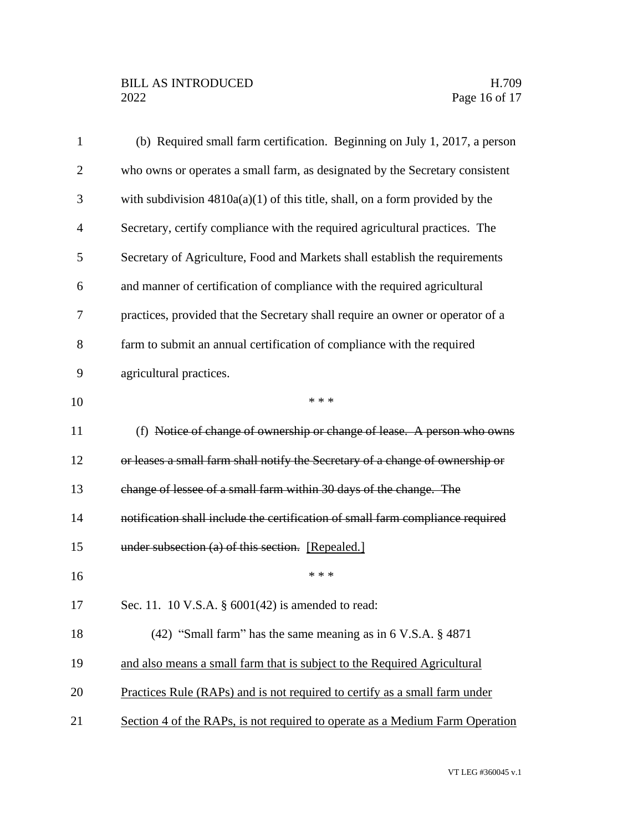# BILL AS INTRODUCED H.709<br>2022 Page 16 of 17

| $\mathbf{1}$   | (b) Required small farm certification. Beginning on July 1, 2017, a person     |
|----------------|--------------------------------------------------------------------------------|
| $\overline{2}$ | who owns or operates a small farm, as designated by the Secretary consistent   |
| 3              | with subdivision $4810a(a)(1)$ of this title, shall, on a form provided by the |
| $\overline{4}$ | Secretary, certify compliance with the required agricultural practices. The    |
| 5              | Secretary of Agriculture, Food and Markets shall establish the requirements    |
| 6              | and manner of certification of compliance with the required agricultural       |
| 7              | practices, provided that the Secretary shall require an owner or operator of a |
| 8              | farm to submit an annual certification of compliance with the required         |
| 9              | agricultural practices.                                                        |
| 10             | * * *                                                                          |
| 11             | (f) Notice of change of ownership or change of lease. A person who owns        |
| 12             | or leases a small farm shall notify the Secretary of a change of ownership or  |
| 13             | change of lessee of a small farm within 30 days of the change. The             |
| 14             | notification shall include the certification of small farm compliance required |
| 15             | under subsection (a) of this section. [Repealed.]                              |
| 16             | * * *                                                                          |
| 17             | Sec. 11. 10 V.S.A. § 6001(42) is amended to read:                              |
| 18             | (42) "Small farm" has the same meaning as in 6 V.S.A. § 4871                   |
| 19             | and also means a small farm that is subject to the Required Agricultural       |
| 20             | Practices Rule (RAPs) and is not required to certify as a small farm under     |
| 21             | Section 4 of the RAPs, is not required to operate as a Medium Farm Operation   |